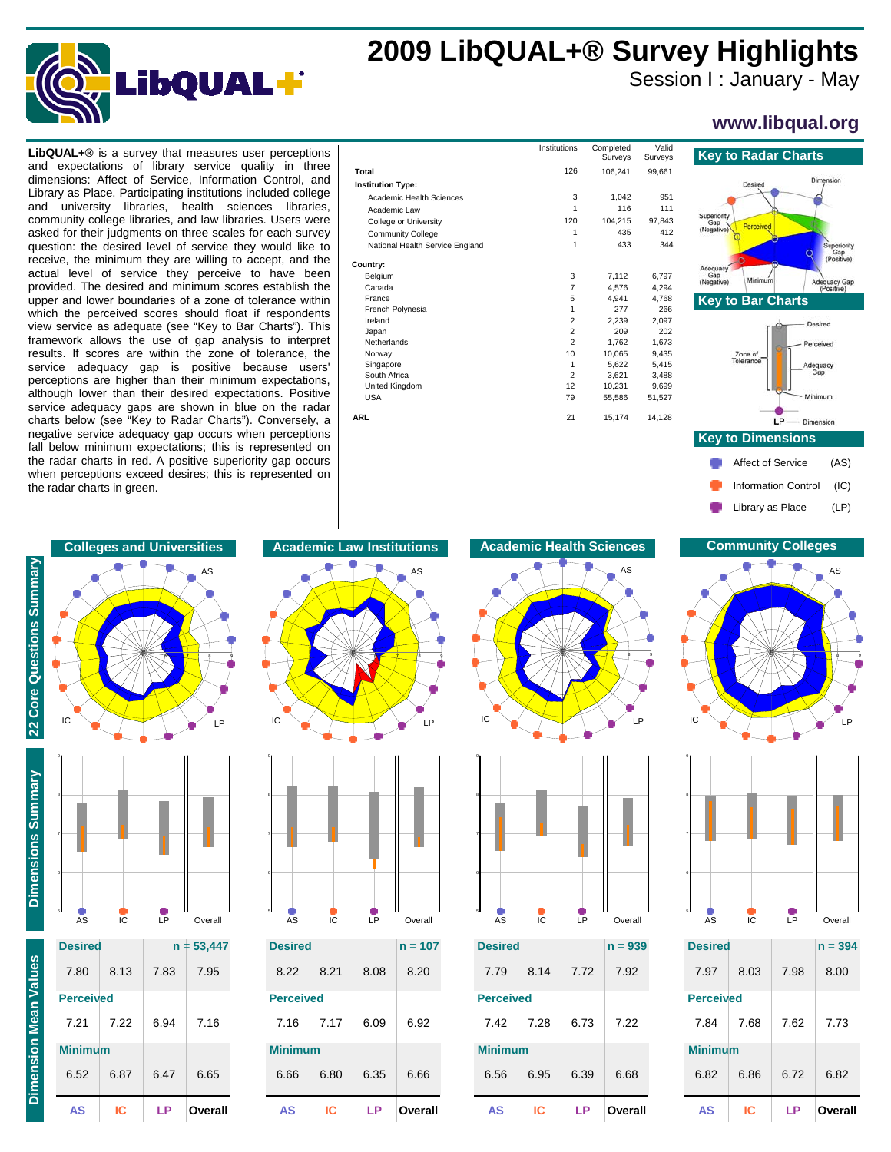

## **2009 LibQUAL+® Survey Highlights**

Session I : January - May

**www.libqual.org**

dimensions: Affect of Service, Information Control, and Library as Place. Participating institutions included college and university libraries, health sciences libraries, community college libraries, and law libraries. Users were asked for their judgments on three scales for each survey question: the desired level of service they would like to receive, the minimum they are willing to accept, and the actual level of service they perceive to have been provided. The desired and minimum scores establish the upper and lower boundaries of a zone of tolerance within which the perceived scores should float if respondents view service as adequate (see "Key to Bar Charts"). This framework allows the use of gap analysis to interpret results. If scores are within the zone of tolerance, the service adequacy gap is positive because users' perceptions are higher than their minimum expectations, although lower than their desired expectations. Positive service adequacy gaps are shown in blue on the radar charts below (see "Key to Radar Charts"). Conversely, a negative service adequacy gap occurs when perceptions fall below minimum expectations; this is represented on the radar charts in red. A positive superiority gap occurs when perceptions exceed desires; this is represented on the radar charts in green.

| <b>LibQUAL+<math>\otimes</math></b> is a survey that measures user perceptions |                                 | Institutions | Completed<br>Surveys | Valid<br>Surveys | <b>Key to Radar Charts</b> |
|--------------------------------------------------------------------------------|---------------------------------|--------------|----------------------|------------------|----------------------------|
| and expectations of library service quality in three                           | Total                           | 126          | 106,241              | 99,661           |                            |
| dimensions: Affect of Service, Information Control, and                        | <b>Institution Type:</b>        |              |                      |                  | Desired                    |
| Library as Place. Participating institutions included college                  | Academic Health Sciences        | 3            | 1.042                | 951              |                            |
| university libraries, health sciences libraries,<br>and                        | Academic Law                    |              | 116                  | 111              |                            |
| community college libraries, and law libraries. Users were                     | College or University           | 120          | 104,215              | 97,843           | Superiority<br>Gap         |
| asked for their judgments on three scales for each survey                      | <b>Community College</b>        |              | 435                  | 412              | Perceived<br>(Negative)    |
| question: the desired level of service they would like to                      | National Health Service England |              | 433                  | 344              |                            |
| receive, the minimum they are willing to accept, and the                       | Country:                        |              |                      |                  | Adequacy                   |
| actual level of service they perceive to have been                             | Belgium                         | 3            | 7,112                | 6,797            | Gap<br>Minimum<br>Ade      |
| provided. The desired and minimum scores establish the                         | Canada                          |              | 4.576                | 4,294            | (Negative)                 |
| upper and lower boundaries of a zone of tolerance within                       | France                          |              | 4.941                | 4,768            | <b>Key to Bar Charts</b>   |
| which the perceived scores should float if respondents                         | French Polynesia                |              | 277                  | 266              |                            |
| view service as adequate (see "Key to Bar Charts"). This                       | Ireland                         |              | 2.239                | 2,097            |                            |
| framework allows the use of gap analysis to interpret                          | Japan                           |              | 209                  | 202              |                            |
|                                                                                | Netherlands                     |              | 1.762                | 1.673            |                            |
| results. If scores are within the zone of tolerance, the                       | Norway                          | 10           | 10.065               | 9.435            | Zone of<br>Tolerance       |
| service adequacy gap is positive because users'                                | Singapore                       |              | 5,622                | 5,415            | Adequ<br>Gar               |
| perceptions are higher than their minimum expectations,                        | South Africa                    |              | 3,621                | 3.488            |                            |
| although lower than their desired expectations. Positive                       | United Kingdom                  | 12           | 10,231               | 9.699            |                            |
|                                                                                | <b>USA</b>                      | 79           | 55,586               | 51,527           | Minim                      |
| service adequacy gaps are shown in blue on the radar                           |                                 |              |                      |                  |                            |
| charts below (see "Key to Radar Charts"). Conversely, a                        | <b>ARL</b>                      | 21           | 15,174               | 14,128           | $LP$ - Dimens              |
| negative service adequacy gap occurs when perceptions                          |                                 |              |                      |                  | <b>Key to Dimensions</b>   |
| fall below minimum expectations: this is represented on                        |                                 |              |                      |                  |                            |





| AS<br>IC<br>LP |
|----------------|



| ΔS               | IC.  | ΙP   | Overa<br>Ш   |
|------------------|------|------|--------------|
| 6.52             | 6.87 | 6.47 | 6.65         |
| <b>Minimum</b>   |      |      |              |
| 7.21             | 7.22 | 6.94 | 7.16         |
| <b>Perceived</b> |      |      |              |
| 7.80             | 8.13 | 7.83 | 7.95         |
| <b>Desired</b>   |      |      | $n = 53,447$ |
|                  |      |      |              |





| <b>Desired</b>   |      |      | $n = 107$ |
|------------------|------|------|-----------|
| 8.22             | 8.21 | 8.08 | 8.20      |
| <b>Perceived</b> |      |      |           |
| 7.16             | 7.17 | 6.09 | 6.92      |
| <b>Minimum</b>   |      |      |           |
| 6.66             | 6.80 | 6.35 | 6.66      |
| AS               | IC   | ΙP   | Overall   |

## **Colleges and Universities Academic Law Institutions Academic Health Sciences Community Colleges**





| <b>Desired</b>   |      |      | $n = 939$ |
|------------------|------|------|-----------|
| 7.79             | 8.14 | 7.72 | 7.92      |
| <b>Perceived</b> |      |      |           |
| 7.42             | 7.28 | 6.73 | 7.22      |
| <b>Minimum</b>   |      |      |           |
| 6.56             | 6.95 | 6.39 | 6.68      |
| AS               | IC   | ΙP   | Overall   |

Library as Place (LP) Information Control (IC)





| <b>Desired</b>   |      |      | $n = 394$ |
|------------------|------|------|-----------|
| 7.97             | 8.03 | 7.98 | 8.00      |
| <b>Perceived</b> |      |      |           |
| 7.84             | 7.68 | 7.62 | 7.73      |
| <b>Minimum</b>   |      |      |           |
| 6.82             | 6.86 | 6.72 | 6.82      |
| AS               | ΙC   | ΙP   | Overall   |